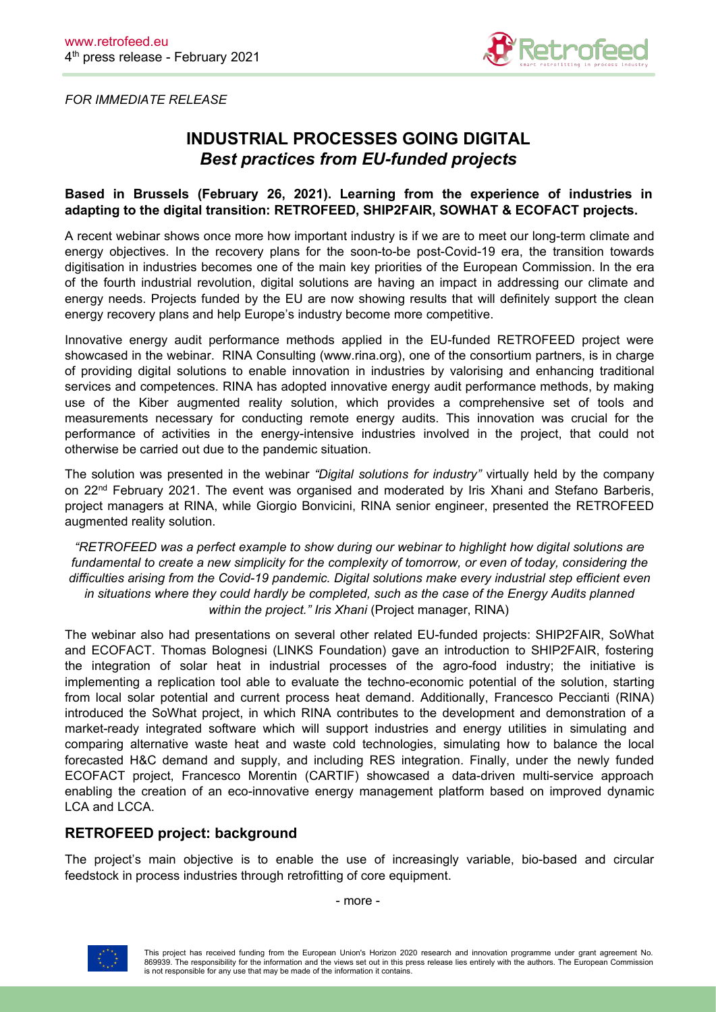

*FOR IMMEDIATE RELEASE*

# **INDUSTRIAL PROCESSES GOING DIGITAL** *Best practices from EU-funded projects*

## **Based in Brussels (February 26, 2021). Learning from the experience of industries in adapting to the digital transition: RETROFEED, SHIP2FAIR, SOWHAT & ECOFACT projects.**

A recent webinar shows once more how important industry is if we are to meet our long-term climate and energy objectives. In the recovery plans for the soon-to-be post-Covid-19 era, the transition towards digitisation in industries becomes one of the main key priorities of the European Commission. In the era of the fourth industrial revolution, digital solutions are having an impact in addressing our climate and energy needs. Projects funded by the EU are now showing results that will definitely support the clean energy recovery plans and help Europe's industry become more competitive.

Innovative energy audit performance methods applied in the EU-funded RETROFEED project were showcased in the webinar. RINA Consulting (www.rina.org), one of the consortium partners, is in charge of providing digital solutions to enable innovation in industries by valorising and enhancing traditional services and competences. RINA has adopted innovative energy audit performance methods, by making use of the Kiber augmented reality solution, which provides a comprehensive set of tools and measurements necessary for conducting remote energy audits. This innovation was crucial for the performance of activities in the energy-intensive industries involved in the project, that could not otherwise be carried out due to the pandemic situation.

The solution was presented in the webinar *"Digital solutions for industry"* virtually held by the company on 22<sup>nd</sup> February 2021. The event was organised and moderated by Iris Xhani and Stefano Barberis, project managers at RINA, while Giorgio Bonvicini, RINA senior engineer, presented the RETROFEED augmented reality solution.

*"RETROFEED was a perfectexample to show during our webinar to highlight how digital solutions are fundamental to create a new simplicity for the complexity of tomorrow, or even of today, considering the difficulties arising from the Covid-19 pandemic. Digital solutions make every industrial step efficient even in situations where they could hardly be completed, such as the case of the Energy Audits planned within the project." Iris Xhani* (Project manager, RINA)

The webinar also had presentations on several other related EU-funded projects: SHIP2FAIR, SoWhat and ECOFACT. Thomas Bolognesi (LINKS Foundation) gave an introduction to SHIP2FAIR, fostering the integration of solar heat in industrial processes of the agro-food industry; the initiative is implementing a replication tool able to evaluate the techno-economic potential of the solution, starting from local solar potential and current process heat demand. Additionally, Francesco Peccianti (RINA) introduced the SoWhat project, in which RINA contributes to the development and demonstration of a market-ready integrated software which will support industries and energy utilities in simulating and comparing alternative waste heat and waste cold technologies, simulating how to balance the local forecasted H&C demand and supply, and including RES integration. Finally, under the newly funded ECOFACT project, Francesco Morentin (CARTIF) showcased a data-driven multi-service approach enabling the creation of an eco-innovative energy management platform based on improved dynamic LCA and LCCA.

## **RETROFEED project: background**

The project's main objective is to enable the use of increasingly variable, bio-based and circular feedstock in process industries through retrofitting of core equipment.